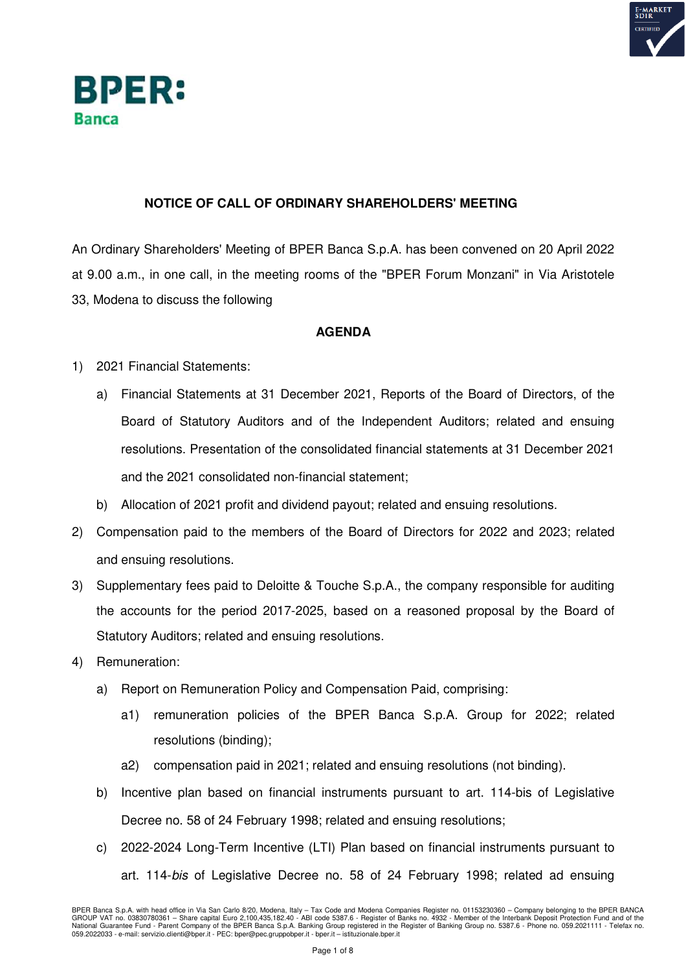



## **NOTICE OF CALL OF ORDINARY SHAREHOLDERS' MEETING**

An Ordinary Shareholders' Meeting of BPER Banca S.p.A. has been convened on 20 April 2022 at 9.00 a.m., in one call, in the meeting rooms of the "BPER Forum Monzani" in Via Aristotele 33, Modena to discuss the following

## **AGENDA**

- 1) 2021 Financial Statements:
	- a) Financial Statements at 31 December 2021, Reports of the Board of Directors, of the Board of Statutory Auditors and of the Independent Auditors; related and ensuing resolutions. Presentation of the consolidated financial statements at 31 December 2021 and the 2021 consolidated non-financial statement;
	- b) Allocation of 2021 profit and dividend payout; related and ensuing resolutions.
- 2) Compensation paid to the members of the Board of Directors for 2022 and 2023; related and ensuing resolutions.
- 3) Supplementary fees paid to Deloitte & Touche S.p.A., the company responsible for auditing the accounts for the period 2017-2025, based on a reasoned proposal by the Board of Statutory Auditors; related and ensuing resolutions.
- 4) Remuneration:
	- a) Report on Remuneration Policy and Compensation Paid, comprising:
		- a1) remuneration policies of the BPER Banca S.p.A. Group for 2022; related resolutions (binding);
		- a2) compensation paid in 2021; related and ensuing resolutions (not binding).
	- b) Incentive plan based on financial instruments pursuant to art. 114-bis of Legislative Decree no. 58 of 24 February 1998; related and ensuing resolutions;
	- c) 2022-2024 Long-Term Incentive (LTI) Plan based on financial instruments pursuant to art. 114-*bis* of Legislative Decree no. 58 of 24 February 1998; related ad ensuing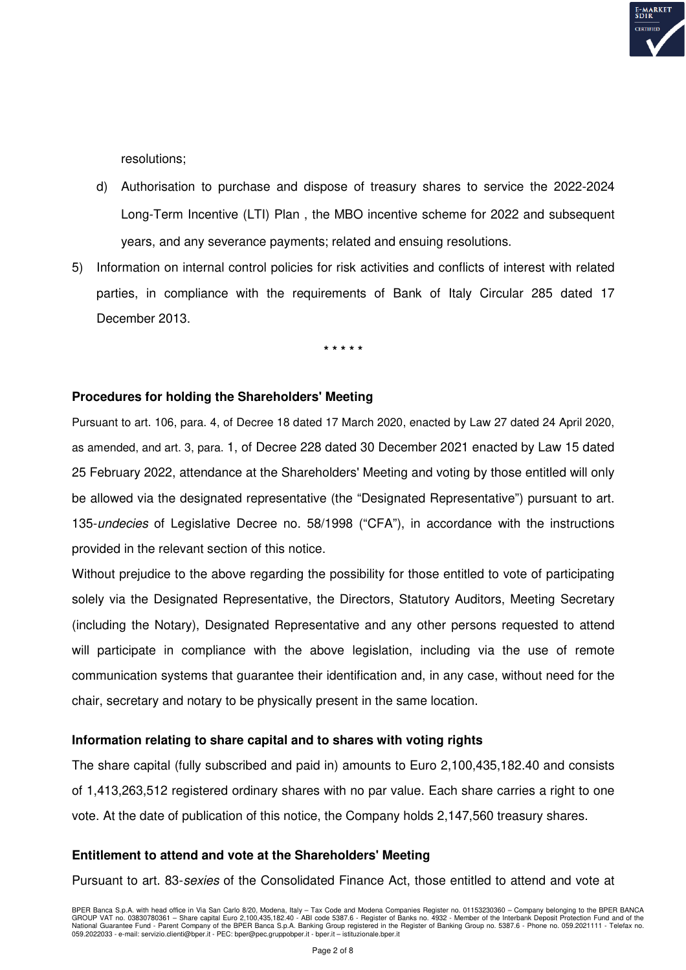

resolutions;

- d) Authorisation to purchase and dispose of treasury shares to service the 2022-2024 Long-Term Incentive (LTI) Plan , the MBO incentive scheme for 2022 and subsequent years, and any severance payments; related and ensuing resolutions.
- 5) Information on internal control policies for risk activities and conflicts of interest with related parties, in compliance with the requirements of Bank of Italy Circular 285 dated 17 December 2013.

**\* \* \* \* \*** 

### **Procedures for holding the Shareholders' Meeting**

Pursuant to art. 106, para. 4, of Decree 18 dated 17 March 2020, enacted by Law 27 dated 24 April 2020, as amended, and art. 3, para. 1, of Decree 228 dated 30 December 2021 enacted by Law 15 dated 25 February 2022, attendance at the Shareholders' Meeting and voting by those entitled will only be allowed via the designated representative (the "Designated Representative") pursuant to art. 135-*undecies* of Legislative Decree no. 58/1998 ("CFA"), in accordance with the instructions provided in the relevant section of this notice.

Without prejudice to the above regarding the possibility for those entitled to vote of participating solely via the Designated Representative, the Directors, Statutory Auditors, Meeting Secretary (including the Notary), Designated Representative and any other persons requested to attend will participate in compliance with the above legislation, including via the use of remote communication systems that guarantee their identification and, in any case, without need for the chair, secretary and notary to be physically present in the same location.

### **Information relating to share capital and to shares with voting rights**

The share capital (fully subscribed and paid in) amounts to Euro 2,100,435,182.40 and consists of 1,413,263,512 registered ordinary shares with no par value. Each share carries a right to one vote. At the date of publication of this notice, the Company holds 2,147,560 treasury shares.

#### **Entitlement to attend and vote at the Shareholders' Meeting**

Pursuant to art. 83-*sexies* of the Consolidated Finance Act, those entitled to attend and vote at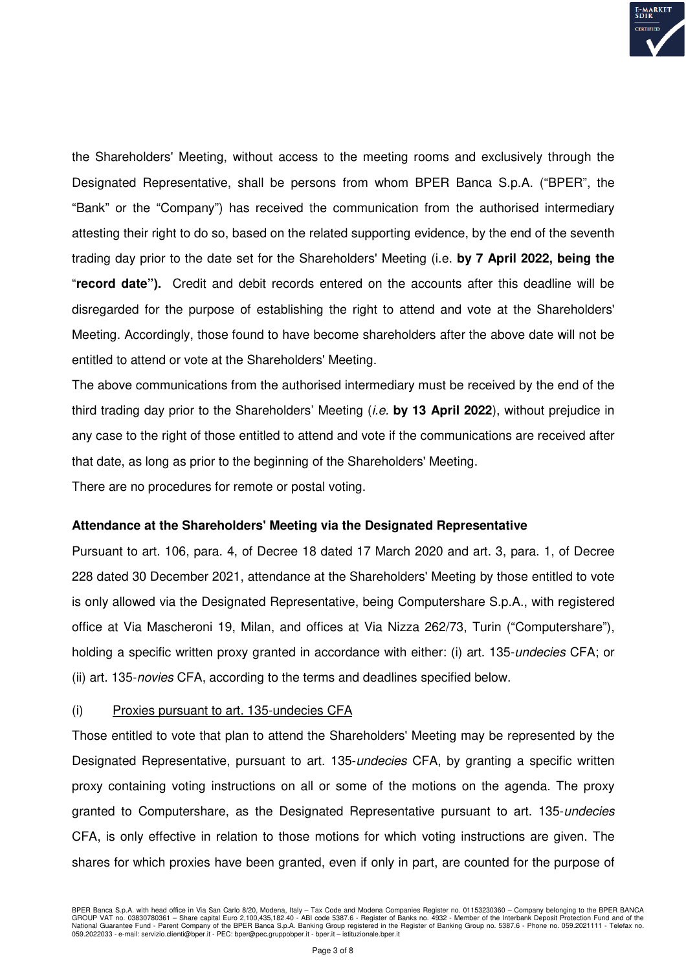

the Shareholders' Meeting, without access to the meeting rooms and exclusively through the Designated Representative, shall be persons from whom BPER Banca S.p.A. ("BPER", the "Bank" or the "Company") has received the communication from the authorised intermediary attesting their right to do so, based on the related supporting evidence, by the end of the seventh trading day prior to the date set for the Shareholders' Meeting (i.e. **by 7 April 2022, being the**  "**record date").** Credit and debit records entered on the accounts after this deadline will be disregarded for the purpose of establishing the right to attend and vote at the Shareholders' Meeting. Accordingly, those found to have become shareholders after the above date will not be entitled to attend or vote at the Shareholders' Meeting.

The above communications from the authorised intermediary must be received by the end of the third trading day prior to the Shareholders' Meeting (*i.e.* **by 13 April 2022**), without prejudice in any case to the right of those entitled to attend and vote if the communications are received after that date, as long as prior to the beginning of the Shareholders' Meeting.

There are no procedures for remote or postal voting.

## **Attendance at the Shareholders' Meeting via the Designated Representative**

Pursuant to art. 106, para. 4, of Decree 18 dated 17 March 2020 and art. 3, para. 1, of Decree 228 dated 30 December 2021, attendance at the Shareholders' Meeting by those entitled to vote is only allowed via the Designated Representative, being Computershare S.p.A., with registered office at Via Mascheroni 19, Milan, and offices at Via Nizza 262/73, Turin ("Computershare"), holding a specific written proxy granted in accordance with either: (i) art. 135-*undecies* CFA; or (ii) art. 135-*novies* CFA, according to the terms and deadlines specified below.

#### (i) Proxies pursuant to art. 135-undecies CFA

Those entitled to vote that plan to attend the Shareholders' Meeting may be represented by the Designated Representative, pursuant to art. 135-*undecies* CFA, by granting a specific written proxy containing voting instructions on all or some of the motions on the agenda. The proxy granted to Computershare, as the Designated Representative pursuant to art. 135-*undecies*  CFA, is only effective in relation to those motions for which voting instructions are given. The shares for which proxies have been granted, even if only in part, are counted for the purpose of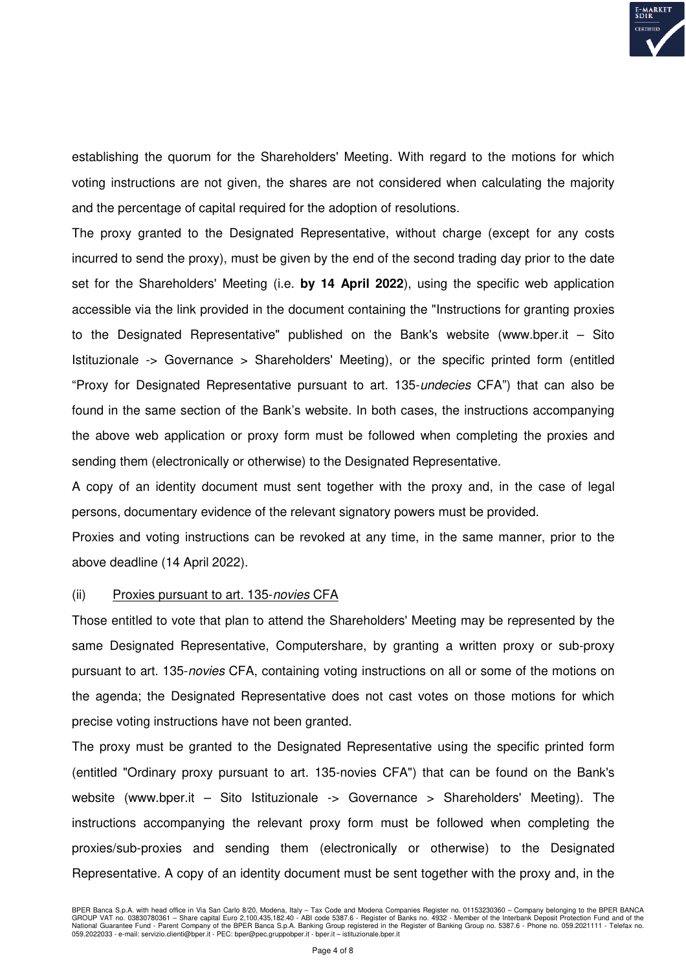

establishing the quorum for the Shareholders' Meeting. With regard to the motions for which voting instructions are not given, the shares are not considered when calculating the majority and the percentage of capital required for the adoption of resolutions.

The proxy granted to the Designated Representative, without charge (except for any costs incurred to send the proxy), must be given by the end of the second trading day prior to the date set for the Shareholders' Meeting (i.e. **by 14 April 2022**), using the specific web application accessible via the link provided in the document containing the "Instructions for granting proxies to the Designated Representative" published on the Bank's website (www.bper.it – Sito Istituzionale -> Governance > Shareholders' Meeting), or the specific printed form (entitled "Proxy for Designated Representative pursuant to art. 135-*undecies* CFA") that can also be found in the same section of the Bank's website. In both cases, the instructions accompanying the above web application or proxy form must be followed when completing the proxies and sending them (electronically or otherwise) to the Designated Representative.

A copy of an identity document must sent together with the proxy and, in the case of legal persons, documentary evidence of the relevant signatory powers must be provided.

Proxies and voting instructions can be revoked at any time, in the same manner, prior to the above deadline (14 April 2022).

#### (ii) Proxies pursuant to art. 135-*novies* CFA

Those entitled to vote that plan to attend the Shareholders' Meeting may be represented by the same Designated Representative, Computershare, by granting a written proxy or sub-proxy pursuant to art. 135-*novies* CFA, containing voting instructions on all or some of the motions on the agenda; the Designated Representative does not cast votes on those motions for which precise voting instructions have not been granted.

The proxy must be granted to the Designated Representative using the specific printed form (entitled "Ordinary proxy pursuant to art. 135-novies CFA") that can be found on the Bank's website (www.bper.it – Sito Istituzionale -> Governance > Shareholders' Meeting). The instructions accompanying the relevant proxy form must be followed when completing the proxies/sub-proxies and sending them (electronically or otherwise) to the Designated Representative. A copy of an identity document must be sent together with the proxy and, in the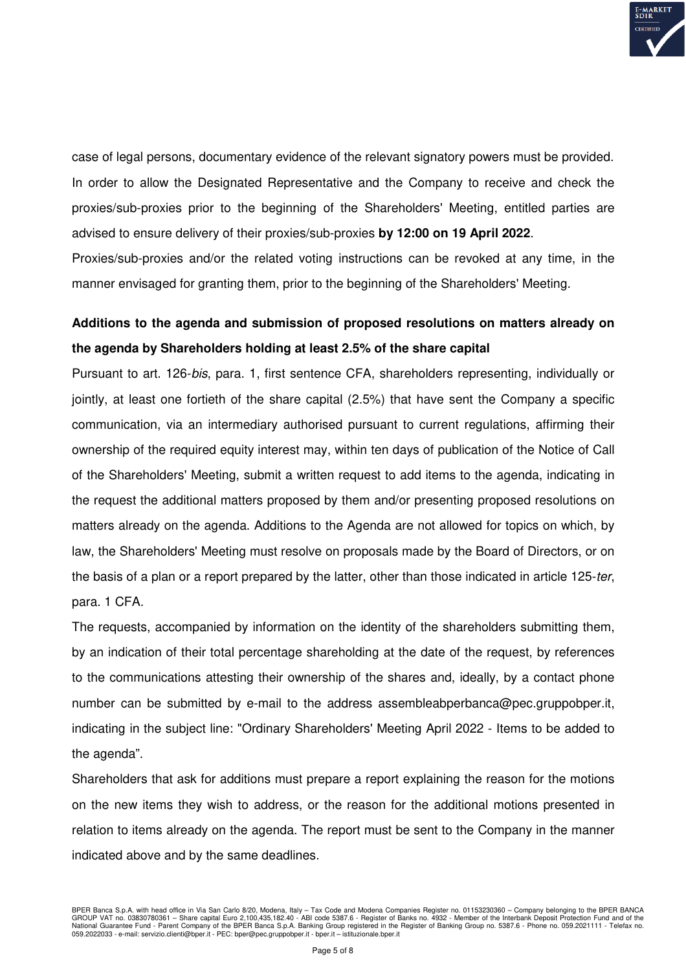

case of legal persons, documentary evidence of the relevant signatory powers must be provided. In order to allow the Designated Representative and the Company to receive and check the proxies/sub-proxies prior to the beginning of the Shareholders' Meeting, entitled parties are advised to ensure delivery of their proxies/sub-proxies **by 12:00 on 19 April 2022**.

Proxies/sub-proxies and/or the related voting instructions can be revoked at any time, in the manner envisaged for granting them, prior to the beginning of the Shareholders' Meeting.

# **Additions to the agenda and submission of proposed resolutions on matters already on the agenda by Shareholders holding at least 2.5% of the share capital**

Pursuant to art. 126-*bis*, para. 1, first sentence CFA, shareholders representing, individually or jointly, at least one fortieth of the share capital (2.5%) that have sent the Company a specific communication, via an intermediary authorised pursuant to current regulations, affirming their ownership of the required equity interest may, within ten days of publication of the Notice of Call of the Shareholders' Meeting, submit a written request to add items to the agenda, indicating in the request the additional matters proposed by them and/or presenting proposed resolutions on matters already on the agenda. Additions to the Agenda are not allowed for topics on which, by law, the Shareholders' Meeting must resolve on proposals made by the Board of Directors, or on the basis of a plan or a report prepared by the latter, other than those indicated in article 125-*ter*, para. 1 CFA.

The requests, accompanied by information on the identity of the shareholders submitting them, by an indication of their total percentage shareholding at the date of the request, by references to the communications attesting their ownership of the shares and, ideally, by a contact phone number can be submitted by e-mail to the address assembleabperbanca@pec.gruppobper.it, indicating in the subject line: "Ordinary Shareholders' Meeting April 2022 - Items to be added to the agenda".

Shareholders that ask for additions must prepare a report explaining the reason for the motions on the new items they wish to address, or the reason for the additional motions presented in relation to items already on the agenda. The report must be sent to the Company in the manner indicated above and by the same deadlines.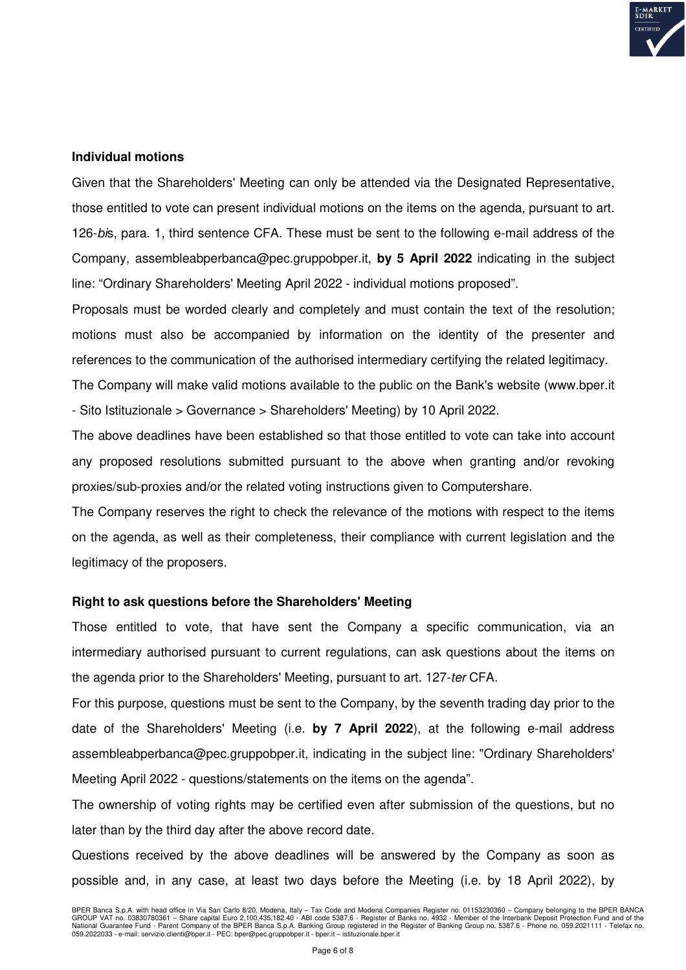

#### **Individual motions**

Given that the Shareholders' Meeting can only be attended via the Designated Representative, those entitled to vote can present individual motions on the items on the agenda, pursuant to art. 126-*bi*s, para. 1, third sentence CFA. These must be sent to the following e-mail address of the Company, assembleabperbanca@pec.gruppobper.it, **by 5 April 2022** indicating in the subject line: "Ordinary Shareholders' Meeting April 2022 - individual motions proposed".

Proposals must be worded clearly and completely and must contain the text of the resolution; motions must also be accompanied by information on the identity of the presenter and references to the communication of the authorised intermediary certifying the related legitimacy.

The Company will make valid motions available to the public on the Bank's website (www.bper.it - Sito Istituzionale > Governance > Shareholders' Meeting) by 10 April 2022.

The above deadlines have been established so that those entitled to vote can take into account any proposed resolutions submitted pursuant to the above when granting and/or revoking proxies/sub-proxies and/or the related voting instructions given to Computershare.

The Company reserves the right to check the relevance of the motions with respect to the items on the agenda, as well as their completeness, their compliance with current legislation and the legitimacy of the proposers.

## **Right to ask questions before the Shareholders' Meeting**

Those entitled to vote, that have sent the Company a specific communication, via an intermediary authorised pursuant to current regulations, can ask questions about the items on the agenda prior to the Shareholders' Meeting, pursuant to art. 127-*ter* CFA.

For this purpose, questions must be sent to the Company, by the seventh trading day prior to the date of the Shareholders' Meeting (i.e. **by 7 April 2022**), at the following e-mail address assembleabperbanca@pec.gruppobper.it, indicating in the subject line: "Ordinary Shareholders' Meeting April 2022 - questions/statements on the items on the agenda".

The ownership of voting rights may be certified even after submission of the questions, but no later than by the third day after the above record date.

Questions received by the above deadlines will be answered by the Company as soon as possible and, in any case, at least two days before the Meeting (i.e. by 18 April 2022), by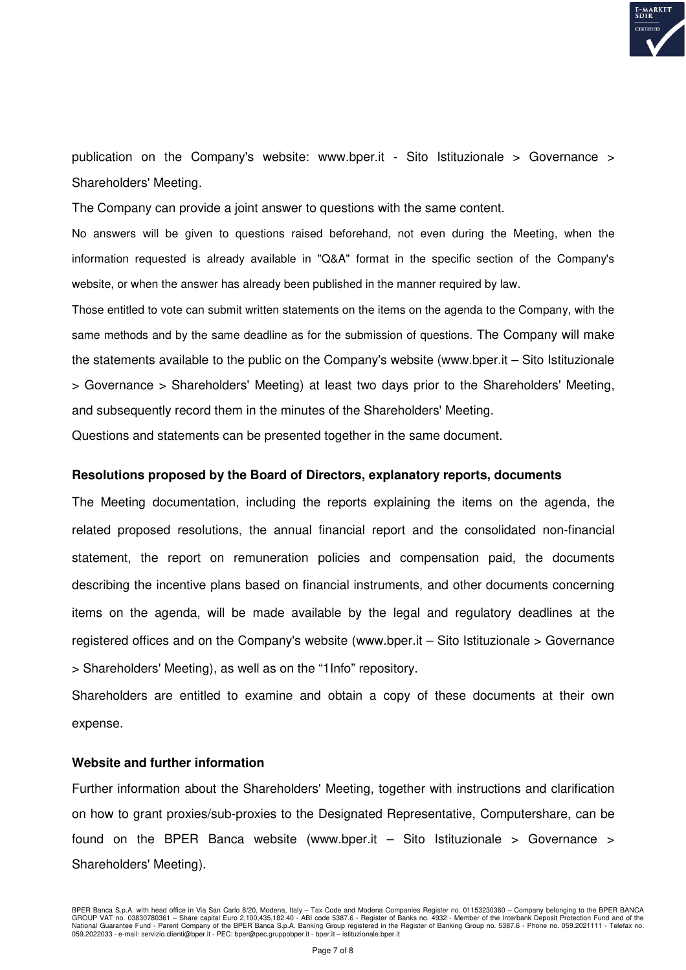

publication on the Company's website: www.bper.it - Sito Istituzionale > Governance > Shareholders' Meeting.

The Company can provide a joint answer to questions with the same content.

No answers will be given to questions raised beforehand, not even during the Meeting, when the information requested is already available in "Q&A" format in the specific section of the Company's website, or when the answer has already been published in the manner required by law.

Those entitled to vote can submit written statements on the items on the agenda to the Company, with the same methods and by the same deadline as for the submission of questions. The Company will make the statements available to the public on the Company's website (www.bper.it – Sito Istituzionale > Governance > Shareholders' Meeting) at least two days prior to the Shareholders' Meeting, and subsequently record them in the minutes of the Shareholders' Meeting.

Questions and statements can be presented together in the same document.

#### **Resolutions proposed by the Board of Directors, explanatory reports, documents**

The Meeting documentation, including the reports explaining the items on the agenda, the related proposed resolutions, the annual financial report and the consolidated non-financial statement, the report on remuneration policies and compensation paid, the documents describing the incentive plans based on financial instruments, and other documents concerning items on the agenda, will be made available by the legal and regulatory deadlines at the registered offices and on the Company's website (www.bper.it – Sito Istituzionale > Governance > Shareholders' Meeting), as well as on the "1Info" repository.

Shareholders are entitled to examine and obtain a copy of these documents at their own expense.

#### **Website and further information**

Further information about the Shareholders' Meeting, together with instructions and clarification on how to grant proxies/sub-proxies to the Designated Representative, Computershare, can be found on the BPER Banca website (www.bper.it  $-$  Sito Istituzionale  $>$  Governance  $>$ Shareholders' Meeting).